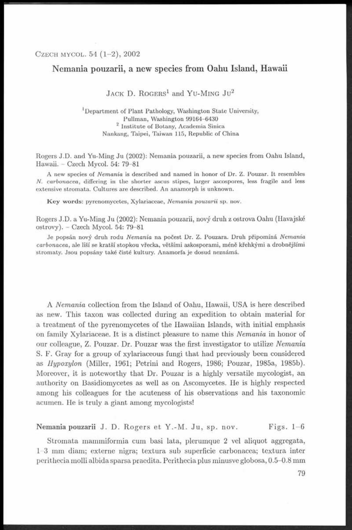# **Nemania pouzarii, a new species from Oahu Island, Hawaii**

 $J$ ACK D. ROGERS<sup>1</sup> and YU-MING  $Ju^2$ 

<sup>1</sup>Department of Plant Pathology, Washington State University, Pullman, Washington 99164-6430 <sup>2</sup> Institute of Botany, Academia Sinica Nankang, Taipei, Taiwan 115, Republic of China

Rogers J.D. and Yu-Ming Ju (2002): Nemania pouzarii, a new species from Oahu Island, Hawaii. - Czech Mycol. 54: 79-81

A new species of *Nemania* is described and named in honor of Dr. Z. Pouzar. It resembles *N. carbonacea*, differing in the shorter ascus stipes, larger ascospores, less fragile and less extensive stromata. Cultures are described. An anamorph is unknown.

Key words: pyrenomycetes, Xylariaceae, *Nemania pouzarii* sp. nov.

Rogers J.D. a Yu-Ming Ju (2002): Nemania pouzarii, nový druh z ostrova Oahu (Havajské ostrovy). - Czech Mycol. 54: 79-81

Je popsán nový druh rodu Nemania na počest Dr. Z. Pouzara. Druh připomíná Nemania  $carbonacea$ , ale liší se kratší stopkou vřecka, většími askosporami, méně křehkými a drobnějšími stromaty. Jsou popsány také čisté kultury. Anamorfa je dosud neznámá.

A *Nemania* collection from the Island of Oahu, Hawaii, USA is here described as new. This taxon was collected during an expedition to obtain material for a treatment of the pyrenomycetes of the Hawaiian Islands, with initial emphasis on family Xylariaceae. It is a distinct pleasure to name this *Nemania* in honor of our colleague, Z. Pouzar. Dr. Pouzar was the first investigator to utilize *Nemania* S. F. Gray for a group of xylariaceous fungi that had previously been considered as *Ilypoxylon* (Miller, 1961; Petřini and Rogers, 1986; Pouzar, 1985a, 1985b). Moreover, it is noteworthy that Dr. Pouzar is a highly versatile mycologist, an authority on Basidiomycetes as well as on Ascomycetes. He is highly respected among his colleagues for the acuteness of his observations and his taxonomic acumen. He is truly a giant among mycologists!

# Nemania pouzarii J. D. Rogers et Y.-M. Ju, sp. nov. Figs. 1-6

Strom ata mammiformia cum basi lata, plerumque 2 vel aliquot aggregata, 1-3 mm diam; externe nigra; textura sub superhcie carbonacea; textura inter perithecia molli albida sparsa praedita. Perithecia plus minusve globosa, 0.5-0.8 mm

79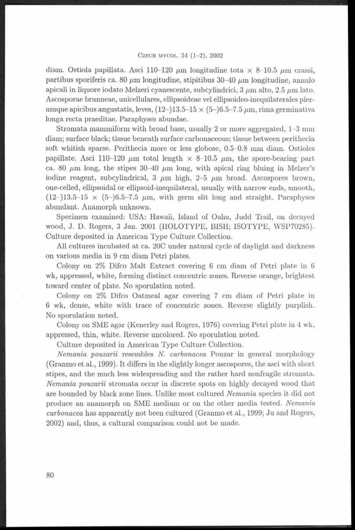### CZECH MYCOL. 54 (1-2), 2002

diam. Ostiola papillata. Asci 110-120  $\mu$ m longitudine tota x 8-10.5  $\mu$ m crassi, partibus sporiferis ca. 80  $\mu$ m longitudine, stipitibus 30-40  $\mu$ m longitudine, annulo apicali in liquore iodato Melzeri cyanescente, subcylindrici,  $3 \mu m$  alto,  $2.5 \mu m$  lato. Ascosporae brunneae, unicellulares, ellipsoideae vel ellipsoideo-inequilaterales plerumque apicibus angustatis, leves,  $(12-)13.5-15 \times (5-)6.5-7.5 \mu m$ , rima germinativa longa recta praeditae. Paraphyses abundae.

Strom ata mammiform with broad base, usually 2 or more aggregated, 1-3 mm diam; surface black; tissue beneath surface carbonaceous; tissue between perithecia soft whitish sparse. Perithecia more or less globose, 0.5-0. 8 mm diam. Ostioles papillate. Asci 110-120  $\mu$ m total length  $\times$  8-10.5  $\mu$ m, the spore-bearing part ca. 80  $\mu$ m long, the stipes 30-40  $\mu$ m long, with apical ring bluing in Melzer's iodine reagent, subcylindrical,  $3 \mu m$  high,  $2-5 \mu m$  broad. Ascospores brown, one-celled, ellipsoidal or ellipsoid-inequilateral, usually with narrow ends, smooth,  $(12-)13.5-15 \times (5-)6.5-7.5 \mu m$ , with germ slit long and straight. Paraphyses abundant. Anamorph unknown.

Specimen examined: USA: Hawaii, Island of Oahu, Judd Trail, on decayed wood, J. D. Rogers, 3 Jan. 2001 (HOLOTYPE, BISH; ISOTYPE, WSP70285). Culture deposited in American Type Culture Collection.

All cultures incubated at ca. 20C under natural cycle of daylight and darkness on various media in 9 cm diam Petri plates.

Colony on 2% Difco Malt Extract covering 6 cm diam of Petri plate in <sup>6</sup> wk, appressed, white, forming distinct concentric zones. Reverse orange, brightest toward center of plate. No sporulation noted.

Colony on 2% Difco Oatmeal agar covering 7 cm diam of Petri plate in <sup>6</sup> wk, dense, white with trace of concentric zones. Reverse slightly purplish. No sporulation noted.

Colony on SME agar (Kenerley and Rogers, 1976) covering Petri plate in 4 wk, appressed, thin, white. Reverse uncolored. No sporulation noted.

Culture deposited in American Type Culture Collection.

*Nemania pouzarii* resembles *N. carbonacea* Pouzar in general morphology (Granmo et al., 1999). It differs in the slightly longer ascospores, the asci with short stipes, and the much less widespreading and the rather hard nonfragile stromata. *Nemania pouzarii* stromata occur in discrete spots on highly decayed wood that are bounded by black zone lines. Unlike most cultured *Nemania* species it did not produce an anamorph on SME medium or on the other media tested. *Nemania carbonacea* has apparently not been cultured (Granmo et al., 1999; Ju and Rogers, 2002) and, thus, a cultural comparison could not be made.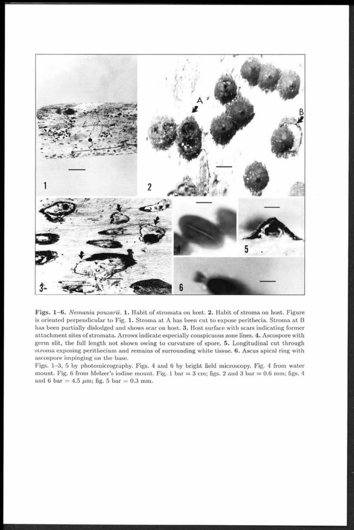

Figs. 1-6. Nemania pouzarii. 1. Habit of stromata on host. 2. Habit of stroma on host. Figure is oriented perpendicular to Fig. 1. Stroma at A has been cut to expose perithecia. Stroma at B has been partially dislodged and shows scar on host. 3. Host surface with scars indicating former attachment sites of stromata. Arrows indicate especially conspicuous zone lines. 4. Ascospore with germ slit, the full length not shown owing to curvature of spore. 5. Longitudinal cut through stroma exposing perithecium and remains of surrounding white tissue. 6. Ascus apical ring with ascospore impinging on the base.

Figs. 1-3, 5 by photomicrography. Figs. 4 and 6 by bright field microscopy. Fig. 4 from water mount. Fig. 6 from Melzer's iodine mount. Fig. 1 bar =  $3 \text{ cm}$ ; figs. 2 and 3 bar = 0.6 mm; figs. 4 and 6 bar = 4.5  $\mu$ m; fig. 5 bar = 0.3 mm.